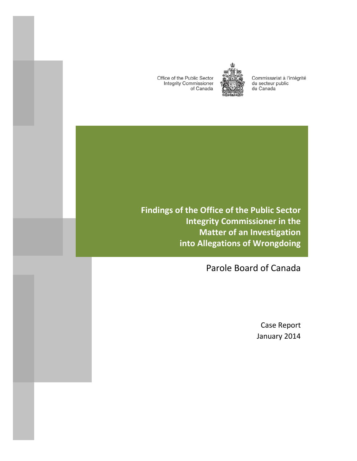Office of the Public Sector **Integrity Commissioner** of Canada



Commissariat à l'intégrité du secteur public du Canada

**Findings of the Office of the Public Sector Integrity Commissioner in the Matter of an Investigation into Allegations of Wrongdoing**

Parole Board of Canada

Case Report January 2014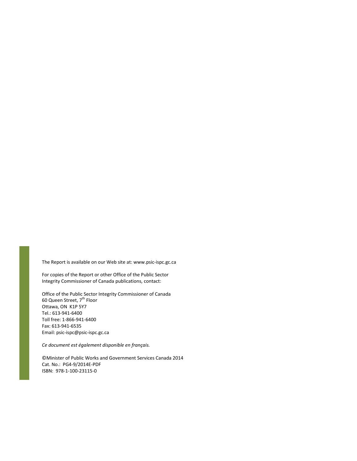The Report is available on our Web site at: www.psic-ispc.gc.ca

For copies of the Report or other Office of the Public Sector Integrity Commissioner of Canada publications, contact:

Office of the Public Sector Integrity Commissioner of Canada 60 Queen Street, 7<sup>th</sup> Floor Ottawa, ON K1P 5Y7 Tel.: 613-941-6400 Toll free: 1-866-941-6400 Fax: 613-941-6535 Email: psic-ispc@psic-ispc.gc.ca

*Ce document est également disponible en français.* 

©Minister of Public Works and Government Services Canada 2014 Cat. No.: PG4-9/2014E-PDF ISBN: 978-1-100-23115-0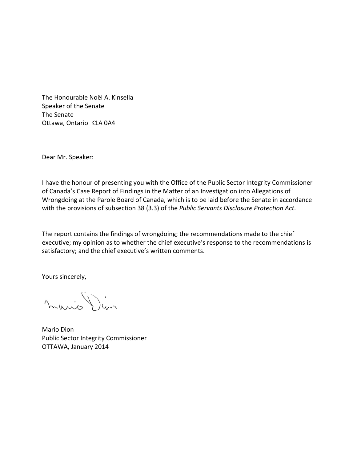The Honourable Noël A. Kinsella Speaker of the Senate The Senate Ottawa, Ontario K1A 0A4

Dear Mr. Speaker:

I have the honour of presenting you with the Office of the Public Sector Integrity Commissioner of Canada's Case Report of Findings in the Matter of an Investigation into Allegations of Wrongdoing at the Parole Board of Canada, which is to be laid before the Senate in accordance with the provisions of subsection 38 (3.3) of the *Public Servants Disclosure Protection Act*.

The report contains the findings of wrongdoing; the recommendations made to the chief executive; my opinion as to whether the chief executive's response to the recommendations is satisfactory; and the chief executive's written comments.

Yours sincerely,

mario Din

Mario Dion Public Sector Integrity Commissioner OTTAWA, January 2014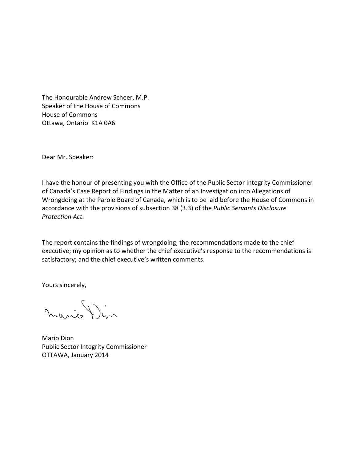The Honourable Andrew Scheer, M.P. Speaker of the House of Commons House of Commons Ottawa, Ontario K1A 0A6

Dear Mr. Speaker:

I have the honour of presenting you with the Office of the Public Sector Integrity Commissioner of Canada's Case Report of Findings in the Matter of an Investigation into Allegations of Wrongdoing at the Parole Board of Canada, which is to be laid before the House of Commons in accordance with the provisions of subsection 38 (3.3) of the *Public Servants Disclosure Protection Act*.

The report contains the findings of wrongdoing; the recommendations made to the chief executive; my opinion as to whether the chief executive's response to the recommendations is satisfactory; and the chief executive's written comments.

Yours sincerely,

mario Din

Mario Dion Public Sector Integrity Commissioner OTTAWA, January 2014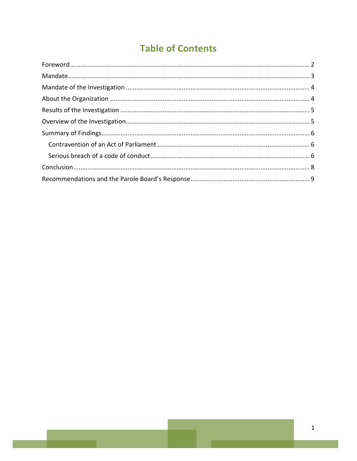# **Table of Contents**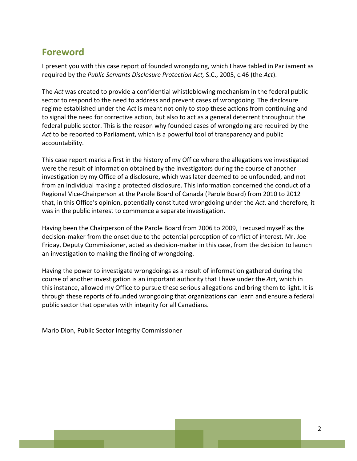### <span id="page-7-0"></span>**Foreword**

I present you with this case report of founded wrongdoing, which I have tabled in Parliament as required by the *Public Servants Disclosure Protection Act,* S.C., 2005, c.46 (the *Act*).

The *Act* was created to provide a confidential whistleblowing mechanism in the federal public sector to respond to the need to address and prevent cases of wrongdoing. The disclosure regime established under the *Act* is meant not only to stop these actions from continuing and to signal the need for corrective action, but also to act as a general deterrent throughout the federal public sector. This is the reason why founded cases of wrongdoing are required by the *Act* to be reported to Parliament, which is a powerful tool of transparency and public accountability.

This case report marks a first in the history of my Office where the allegations we investigated were the result of information obtained by the investigators during the course of another investigation by my Office of a disclosure, which was later deemed to be unfounded, and not from an individual making a protected disclosure. This information concerned the conduct of a Regional Vice-Chairperson at the Parole Board of Canada (Parole Board) from 2010 to 2012 that, in this Office's opinion, potentially constituted wrongdoing under the *Act*, and therefore*,* it was in the public interest to commence a separate investigation.

Having been the Chairperson of the Parole Board from 2006 to 2009, I recused myself as the decision-maker from the onset due to the potential perception of conflict of interest. Mr. Joe Friday, Deputy Commissioner, acted as decision-maker in this case, from the decision to launch an investigation to making the finding of wrongdoing.

Having the power to investigate wrongdoings as a result of information gathered during the course of another investigation is an important authority that I have under the *Act*, which in this instance, allowed my Office to pursue these serious allegations and bring them to light. It is through these reports of founded wrongdoing that organizations can learn and ensure a federal public sector that operates with integrity for all Canadians.

Mario Dion, Public Sector Integrity Commissioner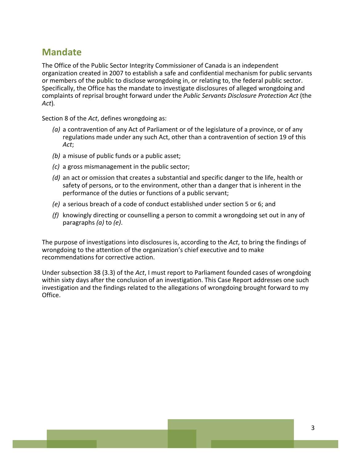### <span id="page-8-0"></span>**Mandate**

The Office of the Public Sector Integrity Commissioner of Canada is an independent organization created in 2007 to establish a safe and confidential mechanism for public servants or members of the public to disclose wrongdoing in, or relating to, the federal public sector. Specifically, the Office has the mandate to investigate disclosures of alleged wrongdoing and complaints of reprisal brought forward under the *Public Servants Disclosure Protection Act* (the *Act*)*.*

Section 8 of the *Act*, defines wrongdoing as:

- *(a)* a contravention of any Act of Parliament or of the legislature of a province, or of any regulations made under any such Act, other than a contravention of section 19 of this *Act*;
- *(b)* a misuse of public funds or a public asset;
- *(c)* a gross mismanagement in the public sector;
- *(d)* an act or omission that creates a substantial and specific danger to the life, health or safety of persons, or to the environment, other than a danger that is inherent in the performance of the duties or functions of a public servant;
- *(e)* a serious breach of a code of conduct established under section 5 or 6; and
- *(f)* knowingly directing or counselling a person to commit a wrongdoing set out in any of paragraphs *(a)* to *(e)*.

The purpose of investigations into disclosures is, according to the *Act*, to bring the findings of wrongdoing to the attention of the organization's chief executive and to make recommendations for corrective action.

Under subsection 38 (3.3) of the *Act*, I must report to Parliament founded cases of wrongdoing within sixty days after the conclusion of an investigation. This Case Report addresses one such investigation and the findings related to the allegations of wrongdoing brought forward to my Office.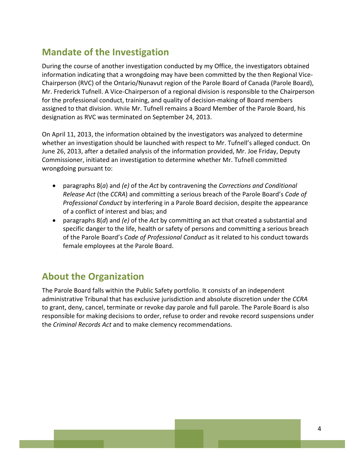## <span id="page-9-0"></span>**Mandate of the Investigation**

During the course of another investigation conducted by my Office, the investigators obtained information indicating that a wrongdoing may have been committed by the then Regional Vice-Chairperson (RVC) of the Ontario/Nunavut region of the Parole Board of Canada (Parole Board), Mr. Frederick Tufnell. A Vice-Chairperson of a regional division is responsible to the Chairperson for the professional conduct, training, and quality of decision-making of Board members assigned to that division. While Mr. Tufnell remains a Board Member of the Parole Board, his designation as RVC was terminated on September 24, 2013.

On April 11, 2013, the information obtained by the investigators was analyzed to determine whether an investigation should be launched with respect to Mr. Tufnell's alleged conduct. On June 26, 2013, after a detailed analysis of the information provided, Mr. Joe Friday, Deputy Commissioner, initiated an investigation to determine whether Mr. Tufnell committed wrongdoing pursuant to:

- paragraphs 8(*a*) and *(e)* of the *Act* by contravening the *[Corrections and Conditional](http://laws-lois.justice.gc.ca/eng/acts/C-44.6/)  [Release Act](http://laws-lois.justice.gc.ca/eng/acts/C-44.6/)* (the *CCRA*) and committing a serious breach of the Parole Board's *Code of Professional Conduct* by interfering in a Parole Board decision, despite the appearance of a conflict of interest and bias; and
- paragraphs 8(*d*) and *(e)* of the *Act* by committing an act that created a substantial and specific danger to the life, health or safety of persons and committing a serious breach of the Parole Board's *Code of Professional Conduct* as it related to his conduct towards female employees at the Parole Board.

## <span id="page-9-1"></span>**About the Organization**

The Parole Board falls within the Public Safety portfolio. It consists of an independent administrative Tribunal that has exclusive jurisdiction and absolute discretion under the *CCRA* to grant, deny, cancel, terminate or revoke day parole and full parole. The Parole Board is also responsible for making decisions to order, refuse to order and revoke record suspensions under the *[Criminal Records Act](http://laws-lois.justice.gc.ca/eng/acts/C-47/index.html)* and to make clemency recommendations.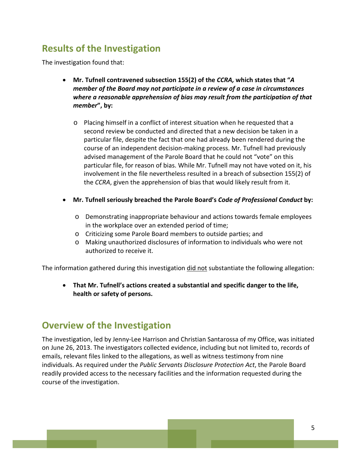## <span id="page-10-0"></span>**Results of the Investigation**

The investigation found that:

- **Mr. Tufnell contravened subsection 155(2) of the** *CCRA,* **which states that "***A member of the Board may not participate in a review of a case in circumstances where a reasonable apprehension of bias may result from the participation of that member***", by:**
	- o Placing himself in a conflict of interest situation when he requested that a second review be conducted and directed that a new decision be taken in a particular file, despite the fact that one had already been rendered during the course of an independent decision-making process. Mr. Tufnell had previously advised management of the Parole Board that he could not "vote" on this particular file, for reason of bias. While Mr. Tufnell may not have voted on it, his involvement in the file nevertheless resulted in a breach of subsection 155(2) of the *CCRA*, given the apprehension of bias that would likely result from it.
- **Mr. Tufnell seriously breached the Parole Board's** *Code of Professional Conduct* **by:**
	- o Demonstrating inappropriate behaviour and actions towards female employees in the workplace over an extended period of time;
	- o Criticizing some Parole Board members to outside parties; and
	- o Making unauthorized disclosures of information to individuals who were not authorized to receive it.

The information gathered during this investigation did not substantiate the following allegation:

• **That Mr. Tufnell's actions created a substantial and specific danger to the life, health or safety of persons.**

#### <span id="page-10-1"></span>**Overview of the Investigation**

The investigation, led by Jenny-Lee Harrison and Christian Santarossa of my Office, was initiated on June 26, 2013. The investigators collected evidence, including but not limited to, records of emails, relevant files linked to the allegations, as well as witness testimony from nine individuals. As required under the *Public Servants Disclosure Protection Act*, the Parole Board readily provided access to the necessary facilities and the information requested during the course of the investigation.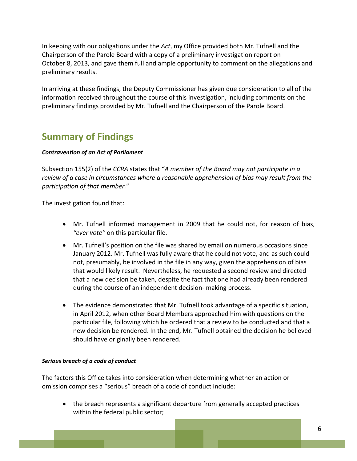In keeping with our obligations under the *Act*, my Office provided both Mr. Tufnell and the Chairperson of the Parole Board with a copy of a preliminary investigation report on October 8, 2013, and gave them full and ample opportunity to comment on the allegations and preliminary results.

In arriving at these findings, the Deputy Commissioner has given due consideration to all of the information received throughout the course of this investigation, including comments on the preliminary findings provided by Mr. Tufnell and the Chairperson of the Parole Board.

## <span id="page-11-0"></span>**Summary of Findings**

#### <span id="page-11-1"></span>*Contravention of an Act of Parliament*

Subsection 155(2) of the *CCRA* states that "*A member of the Board may not participate in a review of a case in circumstances where a reasonable apprehension of bias may result from the participation of that member.*"

The investigation found that:

- Mr. Tufnell informed management in 2009 that he could not, for reason of bias, *"ever vote"* on this particular file.
- Mr. Tufnell's position on the file was shared by email on numerous occasions since January 2012. Mr. Tufnell was fully aware that he could not vote, and as such could not, presumably, be involved in the file in any way, given the apprehension of bias that would likely result. Nevertheless, he requested a second review and directed that a new decision be taken, despite the fact that one had already been rendered during the course of an independent decision- making process.
- The evidence demonstrated that Mr. Tufnell took advantage of a specific situation, in April 2012, when other Board Members approached him with questions on the particular file, following which he ordered that a review to be conducted and that a new decision be rendered. In the end, Mr. Tufnell obtained the decision he believed should have originally been rendered.

#### <span id="page-11-2"></span>*Serious breach of a code of conduct*

The factors this Office takes into consideration when determining whether an action or omission comprises a "serious" breach of a code of conduct include:

• the breach represents a significant departure from generally accepted practices within the federal public sector;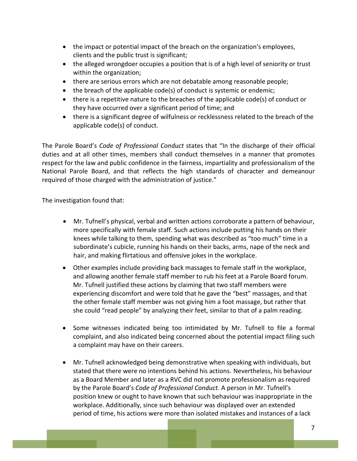- the impact or potential impact of the breach on the organization's employees, clients and the public trust is significant;
- the alleged wrongdoer occupies a position that is of a high level of seniority or trust within the organization;
- there are serious errors which are not debatable among reasonable people;
- the breach of the applicable code(s) of conduct is systemic or endemic;
- there is a repetitive nature to the breaches of the applicable code(s) of conduct or they have occurred over a significant period of time; and
- there is a significant degree of wilfulness or recklessness related to the breach of the applicable code(s) of conduct.

The Parole Board's *Code of Professional Conduct* states that "In the discharge of their official duties and at all other times, members shall conduct themselves in a manner that promotes respect for the law and public confidence in the fairness, impartiality and professionalism of the National Parole Board, and that reflects the high standards of character and demeanour required of those charged with the administration of justice."

The investigation found that:

- Mr. Tufnell's physical, verbal and written actions corroborate a pattern of behaviour, more specifically with female staff. Such actions include putting his hands on their knees while talking to them, spending what was described as "too much" time in a subordinate's cubicle, running his hands on their backs, arms, nape of the neck and hair, and making flirtatious and offensive jokes in the workplace.
- Other examples include providing back massages to female staff in the workplace, and allowing another female staff member to rub his feet at a Parole Board forum. Mr. Tufnell justified these actions by claiming that two staff members were experiencing discomfort and were told that he gave the "best" massages, and that the other female staff member was not giving him a foot massage, but rather that she could "read people" by analyzing their feet, similar to that of a palm reading.
- Some witnesses indicated being too intimidated by Mr. Tufnell to file a formal complaint, and also indicated being concerned about the potential impact filing such a complaint may have on their careers.
- Mr. Tufnell acknowledged being demonstrative when speaking with individuals, but stated that there were no intentions behind his actions. Nevertheless, his behaviour as a Board Member and later as a RVC did not promote professionalism as required by the Parole Board's *Code of Professional Conduct.* A person in Mr. Tufnell's position knew or ought to have known that such behaviour was inappropriate in the workplace. Additionally, since such behaviour was displayed over an extended period of time, his actions were more than isolated mistakes and instances of a lack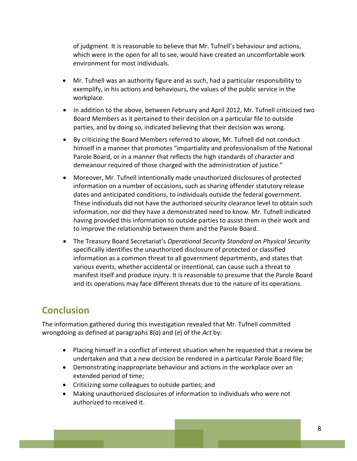of judgment. It is reasonable to believe that Mr. Tufnell's behaviour and actions, which were in the open for all to see, would have created an uncomfortable work environment for most individuals.

- Mr. Tufnell was an authority figure and as such, had a particular responsibility to exemplify, in his actions and behaviours, the values of the public service in the workplace.
- In addition to the above, between February and April 2012, Mr. Tufnell criticized two Board Members as it pertained to their decision on a particular file to outside parties, and by doing so, indicated believing that their decision was wrong.
- By criticizing the Board Members referred to above, Mr. Tufnell did not conduct himself in a manner that promotes "impartiality and professionalism of the National Parole Board, or in a manner that reflects the high standards of character and demeanour required of those charged with the administration of justice."
- Moreover, Mr. Tufnell intentionally made unauthorized disclosures of protected information on a number of occasions, such as sharing offender statutory release dates and anticipated conditions, to individuals outside the federal government. These individuals did not have the authorized security clearance level to obtain such information, nor did they have a demonstrated need to know. Mr. Tufnell indicated having provided this information to outside parties to assist them in their work and to improve the relationship between them and the Parole Board.
- The Treasury Board Secretariat's *Operational Security Standard on Physical Security* specifically identifies the unauthorized disclosure of protected or classified information as a common threat to all government departments, and states that various events, whether accidental or intentional, can cause such a threat to manifest itself and produce injury. It is reasonable to presume that the Parole Board and its operations may face different threats due to the nature of its operations.

## <span id="page-13-0"></span>**Conclusion**

The information gathered during this investigation revealed that Mr. Tufnell committed wrongdoing as defined at paragraphs 8(*a*) and (*e*) of the *Act* by:

- Placing himself in a conflict of interest situation when he requested that a review be undertaken and that a new decision be rendered in a particular Parole Board file;
- Demonstrating inappropriate behaviour and actions in the workplace over an extended period of time;
- Criticizing some colleagues to outside parties; and
- Making unauthorized disclosures of information to individuals who were not authorized to received it.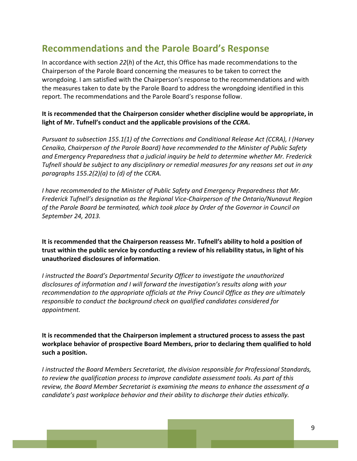### <span id="page-14-0"></span>**Recommendations and the Parole Board's Response**

In accordance with section *22*(*h*) of the *Act*, this Office has made recommendations to the Chairperson of the Parole Board concerning the measures to be taken to correct the wrongdoing. I am satisfied with the Chairperson's response to the recommendations and with the measures taken to date by the Parole Board to address the wrongdoing identified in this report. The recommendations and the Parole Board's response follow.

#### **It is recommended that the Chairperson consider whether discipline would be appropriate, in light of Mr. Tufnell's conduct and the applicable provisions of the** *CCRA***.**

*Pursuant to subsection 155.1(1) of the Corrections and Conditional Release Act (CCRA), I (Harvey Cenaiko, Chairperson of the Parole Board) have recommended to the Minister of Public Safety and Emergency Preparedness that a judicial inquiry be held to determine whether Mr. Frederick Tufnell should be subject to any disciplinary or remedial measures for any reasons set out in any paragraphs 155.2(2)(a) to (d) of the CCRA.*

*I have recommended to the Minister of Public Safety and Emergency Preparedness that Mr. Frederick Tufnell's designation as the Regional Vice-Chairperson of the Ontario/Nunavut Region of the Parole Board be terminated, which took place by Order of the Governor in Council on September 24, 2013.*

**It is recommended that the Chairperson reassess Mr. Tufnell's ability to hold a position of trust within the public service by conducting a review of his reliability status, in light of his unauthorized disclosures of information**.

*I instructed the Board's Departmental Security Officer to investigate the unauthorized disclosures of information and I will forward the investigation's results along with your recommendation to the appropriate officials at the Privy Council Office as they are ultimately responsible to conduct the background check on qualified candidates considered for appointment.*

**It is recommended that the Chairperson implement a structured process to assess the past workplace behavior of prospective Board Members, prior to declaring them qualified to hold such a position.**

*I instructed the Board Members Secretariat, the division responsible for Professional Standards, to review the qualification process to improve candidate assessment tools. As part of this review, the Board Member Secretariat is examining the means to enhance the assessment of a candidate's past workplace behavior and their ability to discharge their duties ethically.*